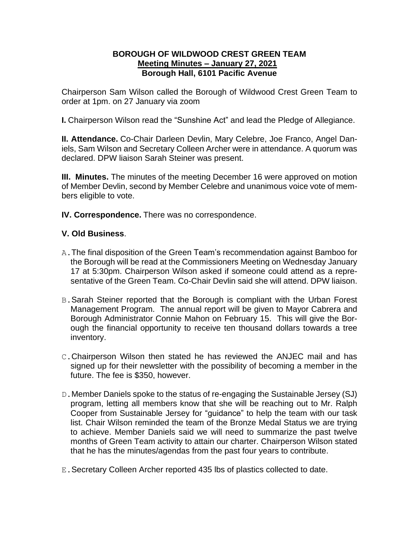## **BOROUGH OF WILDWOOD CREST GREEN TEAM Meeting Minutes – January 27, 2021 Borough Hall, 6101 Pacific Avenue**

Chairperson Sam Wilson called the Borough of Wildwood Crest Green Team to order at 1pm. on 27 January via zoom

**I.** Chairperson Wilson read the "Sunshine Act" and lead the Pledge of Allegiance.

**II. Attendance.** Co-Chair Darleen Devlin, Mary Celebre, Joe Franco, Angel Daniels, Sam Wilson and Secretary Colleen Archer were in attendance. A quorum was declared. DPW liaison Sarah Steiner was present.

**III. Minutes.** The minutes of the meeting December 16 were approved on motion of Member Devlin, second by Member Celebre and unanimous voice vote of members eligible to vote.

**IV. Correspondence.** There was no correspondence.

## **V. Old Business**.

- A.The final disposition of the Green Team's recommendation against Bamboo for the Borough will be read at the Commissioners Meeting on Wednesday January 17 at 5:30pm. Chairperson Wilson asked if someone could attend as a representative of the Green Team. Co-Chair Devlin said she will attend. DPW liaison.
- B.Sarah Steiner reported that the Borough is compliant with the Urban Forest Management Program. The annual report will be given to Mayor Cabrera and Borough Administrator Connie Mahon on February 15. This will give the Borough the financial opportunity to receive ten thousand dollars towards a tree inventory.
- C.Chairperson Wilson then stated he has reviewed the ANJEC mail and has signed up for their newsletter with the possibility of becoming a member in the future. The fee is \$350, however.
- D.Member Daniels spoke to the status of re-engaging the Sustainable Jersey (SJ) program, letting all members know that she will be reaching out to Mr. Ralph Cooper from Sustainable Jersey for "guidance" to help the team with our task list. Chair Wilson reminded the team of the Bronze Medal Status we are trying to achieve. Member Daniels said we will need to summarize the past twelve months of Green Team activity to attain our charter. Chairperson Wilson stated that he has the minutes/agendas from the past four years to contribute.
- E.Secretary Colleen Archer reported 435 lbs of plastics collected to date.